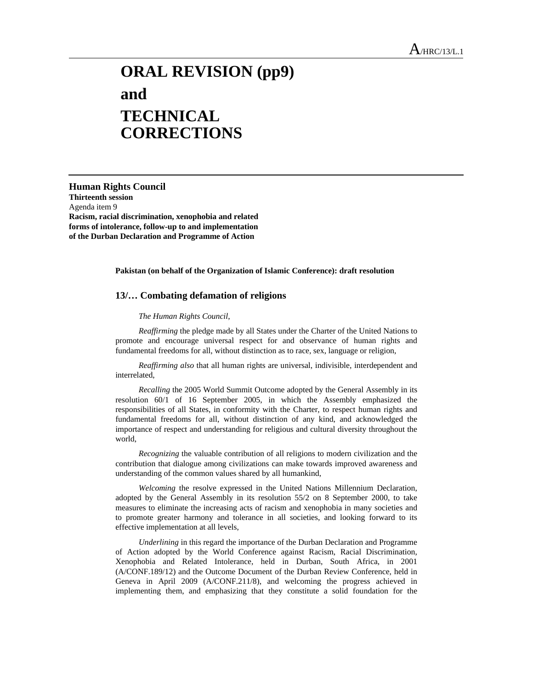## **ORAL REVISION (pp9) and TECHNICAL CORRECTIONS**

**Human Rights Council Thirteenth session**  Agenda item 9 **Racism, racial discrimination, xenophobia and related forms of intolerance, follow-up to and implementation of the Durban Declaration and Programme of Action** 

## **Pakistan (on behalf of the Organization of Islamic Conference): draft resolution**

## **13/… Combating defamation of religions**

## *The Human Rights Council*,

 *Reaffirming* the pledge made by all States under the Charter of the United Nations to promote and encourage universal respect for and observance of human rights and fundamental freedoms for all, without distinction as to race, sex, language or religion,

 *Reaffirming also* that all human rights are universal, indivisible, interdependent and interrelated,

 *Recalling* the 2005 World Summit Outcome adopted by the General Assembly in its resolution 60/1 of 16 September 2005, in which the Assembly emphasized the responsibilities of all States, in conformity with the Charter, to respect human rights and fundamental freedoms for all, without distinction of any kind, and acknowledged the importance of respect and understanding for religious and cultural diversity throughout the world,

 *Recognizing* the valuable contribution of all religions to modern civilization and the contribution that dialogue among civilizations can make towards improved awareness and understanding of the common values shared by all humankind,

 *Welcoming* the resolve expressed in the United Nations Millennium Declaration, adopted by the General Assembly in its resolution 55/2 on 8 September 2000, to take measures to eliminate the increasing acts of racism and xenophobia in many societies and to promote greater harmony and tolerance in all societies, and looking forward to its effective implementation at all levels,

 *Underlining* in this regard the importance of the Durban Declaration and Programme of Action adopted by the World Conference against Racism, Racial Discrimination, Xenophobia and Related Intolerance, held in Durban, South Africa, in 2001 (A/CONF.189/12) and the Outcome Document of the Durban Review Conference, held in Geneva in April 2009 (A/CONF.211/8), and welcoming the progress achieved in implementing them, and emphasizing that they constitute a solid foundation for the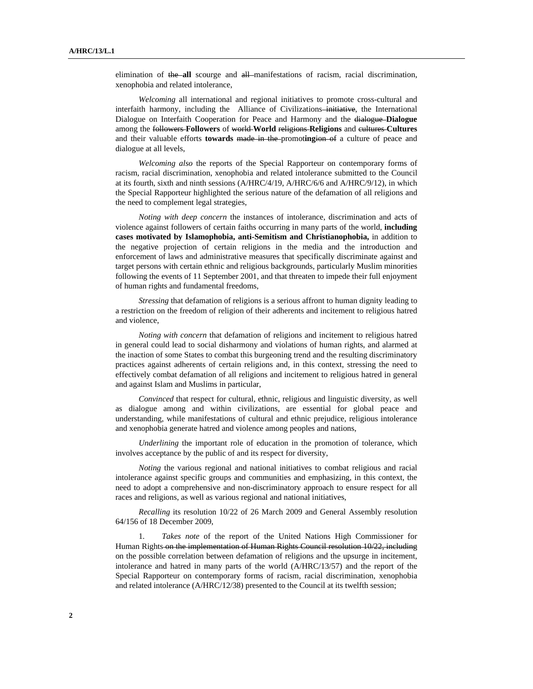elimination of the all scourge and all manifestations of racism, racial discrimination, xenophobia and related intolerance,

 *Welcoming* all international and regional initiatives to promote cross-cultural and interfaith harmony, including the Alliance of Civilizations-initiative, the International Dialogue on Interfaith Cooperation for Peace and Harmony and the dialogue **Dialogue**  among the followers-Followers of world-World religions-Religions and cultures-Cultures and their valuable efforts **towards** made in the promot**ing**ion of a culture of peace and dialogue at all levels,

 *Welcoming also* the reports of the Special Rapporteur on contemporary forms of racism, racial discrimination, xenophobia and related intolerance submitted to the Council at its fourth, sixth and ninth sessions (A/HRC/4/19, A/HRC/6/6 and A/HRC/9/12), in which the Special Rapporteur highlighted the serious nature of the defamation of all religions and the need to complement legal strategies,

 *Noting with deep concern* the instances of intolerance, discrimination and acts of violence against followers of certain faiths occurring in many parts of the world, **including cases motivated by Islamophobia, anti-Semitism and Christianophobia,** in addition to the negative projection of certain religions in the media and the introduction and enforcement of laws and administrative measures that specifically discriminate against and target persons with certain ethnic and religious backgrounds, particularly Muslim minorities following the events of 11 September 2001, and that threaten to impede their full enjoyment of human rights and fundamental freedoms,

 *Stressing* that defamation of religions is a serious affront to human dignity leading to a restriction on the freedom of religion of their adherents and incitement to religious hatred and violence,

 *Noting with concern* that defamation of religions and incitement to religious hatred in general could lead to social disharmony and violations of human rights, and alarmed at the inaction of some States to combat this burgeoning trend and the resulting discriminatory practices against adherents of certain religions and, in this context, stressing the need to effectively combat defamation of all religions and incitement to religious hatred in general and against Islam and Muslims in particular,

 *Convinced* that respect for cultural, ethnic, religious and linguistic diversity, as well as dialogue among and within civilizations, are essential for global peace and understanding, while manifestations of cultural and ethnic prejudice, religious intolerance and xenophobia generate hatred and violence among peoples and nations,

*Underlining* the important role of education in the promotion of tolerance, which involves acceptance by the public of and its respect for diversity,

 *Noting* the various regional and national initiatives to combat religious and racial intolerance against specific groups and communities and emphasizing, in this context, the need to adopt a comprehensive and non-discriminatory approach to ensure respect for all races and religions, as well as various regional and national initiatives,

 *Recalling* its resolution 10/22 of 26 March 2009 and General Assembly resolution 64/156 of 18 December 2009,

1*. Takes note* of the report of the United Nations High Commissioner for Human Rights on the implementation of Human Rights Council resolution 10/22, including on the possible correlation between defamation of religions and the upsurge in incitement, intolerance and hatred in many parts of the world (A/HRC/13/57) and the report of the Special Rapporteur on contemporary forms of racism, racial discrimination, xenophobia and related intolerance (A/HRC/12/38) presented to the Council at its twelfth session;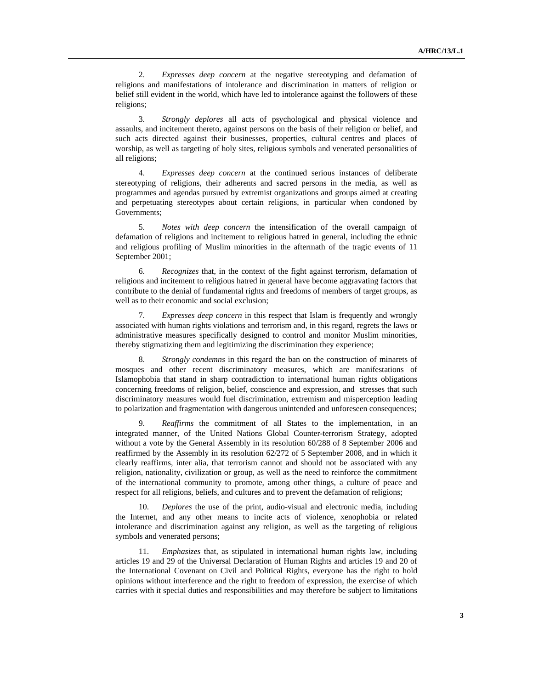2. *Expresses deep concern* at the negative stereotyping and defamation of religions and manifestations of intolerance and discrimination in matters of religion or belief still evident in the world, which have led to intolerance against the followers of these religions;

3. *Strongly deplores* all acts of psychological and physical violence and assaults, and incitement thereto, against persons on the basis of their religion or belief, and such acts directed against their businesses, properties, cultural centres and places of worship, as well as targeting of holy sites, religious symbols and venerated personalities of all religions;

4. *Expresses deep concern* at the continued serious instances of deliberate stereotyping of religions, their adherents and sacred persons in the media, as well as programmes and agendas pursued by extremist organizations and groups aimed at creating and perpetuating stereotypes about certain religions, in particular when condoned by Governments;

5. *Notes with deep concern* the intensification of the overall campaign of defamation of religions and incitement to religious hatred in general, including the ethnic and religious profiling of Muslim minorities in the aftermath of the tragic events of 11 September 2001;

6. *Recognizes* that, in the context of the fight against terrorism, defamation of religions and incitement to religious hatred in general have become aggravating factors that contribute to the denial of fundamental rights and freedoms of members of target groups, as well as to their economic and social exclusion;

 7. *Expresses deep concern* in this respect that Islam is frequently and wrongly associated with human rights violations and terrorism and, in this regard, regrets the laws or administrative measures specifically designed to control and monitor Muslim minorities, thereby stigmatizing them and legitimizing the discrimination they experience;

8. *Strongly condemns* in this regard the ban on the construction of minarets of mosques and other recent discriminatory measures, which are manifestations of Islamophobia that stand in sharp contradiction to international human rights obligations concerning freedoms of religion, belief, conscience and expression, and stresses that such discriminatory measures would fuel discrimination, extremism and misperception leading to polarization and fragmentation with dangerous unintended and unforeseen consequences;

9. *Reaffirms* the commitment of all States to the implementation, in an integrated manner, of the United Nations Global Counter-terrorism Strategy, adopted without a vote by the General Assembly in its resolution 60/288 of 8 September 2006 and reaffirmed by the Assembly in its resolution 62/272 of 5 September 2008, and in which it clearly reaffirms, inter alia, that terrorism cannot and should not be associated with any religion, nationality, civilization or group, as well as the need to reinforce the commitment of the international community to promote, among other things, a culture of peace and respect for all religions, beliefs, and cultures and to prevent the defamation of religions;

10. *Deplores* the use of the print, audio-visual and electronic media, including the Internet, and any other means to incite acts of violence, xenophobia or related intolerance and discrimination against any religion, as well as the targeting of religious symbols and venerated persons;

11. *Emphasizes* that, as stipulated in international human rights law, including articles 19 and 29 of the Universal Declaration of Human Rights and articles 19 and 20 of the International Covenant on Civil and Political Rights, everyone has the right to hold opinions without interference and the right to freedom of expression, the exercise of which carries with it special duties and responsibilities and may therefore be subject to limitations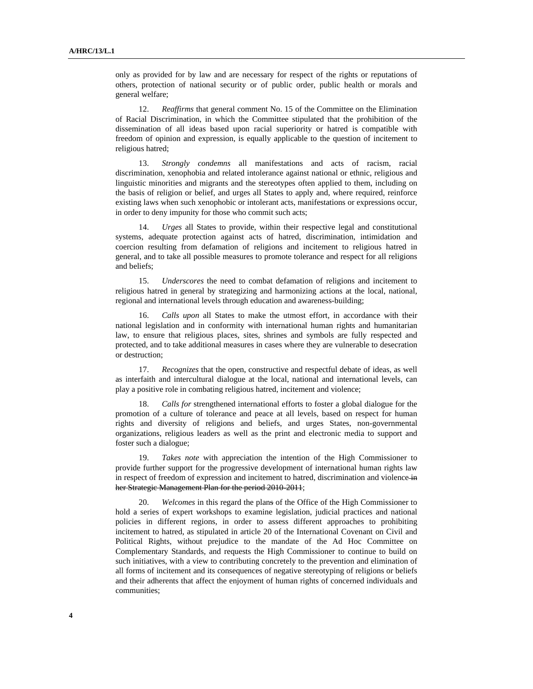only as provided for by law and are necessary for respect of the rights or reputations of others, protection of national security or of public order, public health or morals and general welfare;

12. *Reaffirms* that general comment No. 15 of the Committee on the Elimination of Racial Discrimination, in which the Committee stipulated that the prohibition of the dissemination of all ideas based upon racial superiority or hatred is compatible with freedom of opinion and expression, is equally applicable to the question of incitement to religious hatred;

13. *Strongly condemns* all manifestations and acts of racism, racial discrimination, xenophobia and related intolerance against national or ethnic, religious and linguistic minorities and migrants and the stereotypes often applied to them, including on the basis of religion or belief, and urges all States to apply and, where required, reinforce existing laws when such xenophobic or intolerant acts, manifestations or expressions occur, in order to deny impunity for those who commit such acts;

14. *Urges* all States to provide, within their respective legal and constitutional systems, adequate protection against acts of hatred, discrimination, intimidation and coercion resulting from defamation of religions and incitement to religious hatred in general, and to take all possible measures to promote tolerance and respect for all religions and beliefs;

15. *Underscores* the need to combat defamation of religions and incitement to religious hatred in general by strategizing and harmonizing actions at the local, national, regional and international levels through education and awareness-building;

16. *Calls upon* all States to make the utmost effort, in accordance with their national legislation and in conformity with international human rights and humanitarian law, to ensure that religious places, sites, shrines and symbols are fully respected and protected, and to take additional measures in cases where they are vulnerable to desecration or destruction;

17. *Recognizes* that the open, constructive and respectful debate of ideas, as well as interfaith and intercultural dialogue at the local, national and international levels, can play a positive role in combating religious hatred, incitement and violence;

18. *Calls for* strengthened international efforts to foster a global dialogue for the promotion of a culture of tolerance and peace at all levels, based on respect for human rights and diversity of religions and beliefs, and urges States, non-governmental organizations, religious leaders as well as the print and electronic media to support and foster such a dialogue;

19. *Takes note* with appreciation the intention of the High Commissioner to provide further support for the progressive development of international human rights law in respect of freedom of expression and incitement to hatred, discrimination and violence in her Strategic Management Plan for the period 2010-2011;

20. *Welcomes* in this regard the plans of the Office of the High Commissioner to hold a series of expert workshops to examine legislation, judicial practices and national policies in different regions, in order to assess different approaches to prohibiting incitement to hatred, as stipulated in article 20 of the International Covenant on Civil and Political Rights, without prejudice to the mandate of the Ad Hoc Committee on Complementary Standards, and requests the High Commissioner to continue to build on such initiatives, with a view to contributing concretely to the prevention and elimination of all forms of incitement and its consequences of negative stereotyping of religions or beliefs and their adherents that affect the enjoyment of human rights of concerned individuals and communities;